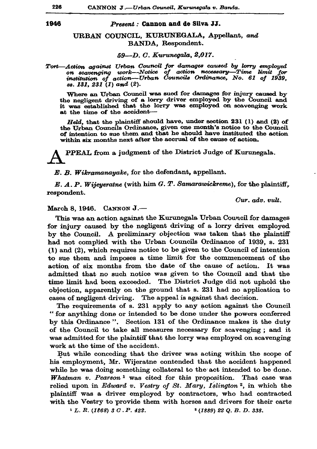## Present: Cannon and de Silva JJ.

URBAN COUNCIL, KURUNEGALA, Appellant. and BANDA, Respondent.

59—D. C. Kurunegala, 2,017.

Tort-Action against Urban Council for damages caused by lorry employed on scavenging work-Notice of action necessary-Time limit for<br>institution of action-Urban Councils Ordinance, No. 61 of 1939, ss. 131, 231 (1) and (2).

Where an Urban Council was sued for damages for injury caused by the negligent driving of a lorry driver employed by the Council and it was established that the lorry was employed on scavenging work at the time of the accident-

Held, that the plaintiff should have, under section 231 (1) and (2) of the Urban Councils Ordinance, given one month's notice to the Council of intention to sue them and that he should have instituted the action within six months next after the accrual of the cause of action.

PPEAL from a judgment of the District Judge of Kurunegala.

E. B. Wikramanayake, for the defendant, appellant.

 $E. A. P. Wijeyer atne (with him G. T. Samarawickreme), for the plaintiff.$ respondent.

Cur. adv. vult.

March 8. 1946. CANNON J.-

This was an action against the Kurunegala Urban Council for damages for injury caused by the negligent driving of a lorry driver employed by the Council. A preliminary objection was taken that the plaintiff had not complied with the Urban Councils Ordinance of 1939, s. 231 (1) and (2), which requires notice to be given to the Council of intention to sue them and imposes a time limit for the commencement of the action of six months from the date of the cause of action. It was admitted that no such notice was given to the Council and that the time limit had been exceeded. The District Judge did not uphold the objection, apparently on the ground that s. 231 had no application to cases of negligent driving. The appeal is against that decision.

The requirements of s. 231 apply to any action against the Council " for anything done or intended to be done under the powers conferred by this Ordinance". Section 131 of the Ordinance makes it the duty of the Council to take all measures necessary for scavenging; and it was admitted for the plaintiff that the lorry was employed on scavenging work at the time of the accident.

But while conceding that the driver was acting within the scope of his employment, Mr. Wijeratne contended that the accident happened while he was doing something collateral to the act intended to be done. **Whatman v. Pearson<sup>1</sup>** was cited for this proposition. That case was relied upon in Edward v. Vestry of St. Mary, Islington<sup>2</sup>, in which the plaintiff was a driver employed by contractors, who had contracted with the Vestry to provide them with horses and drivers for their carts

 $1 L. R. (1868) 3 C. P. 422.$ 

<sup>2</sup> (1889) 22 Q. B. D. 338.

226

1946